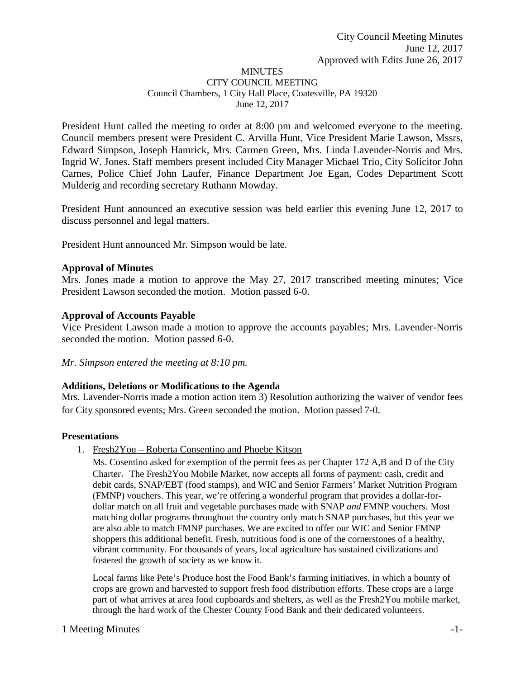#### **MINUTES** CITY COUNCIL MEETING Council Chambers, 1 City Hall Place, Coatesville, PA 19320 June 12, 2017

President Hunt called the meeting to order at 8:00 pm and welcomed everyone to the meeting. Council members present were President C. Arvilla Hunt, Vice President Marie Lawson, Mssrs, Edward Simpson, Joseph Hamrick, Mrs. Carmen Green, Mrs. Linda Lavender-Norris and Mrs. Ingrid W. Jones. Staff members present included City Manager Michael Trio, City Solicitor John Carnes, Police Chief John Laufer, Finance Department Joe Egan, Codes Department Scott Mulderig and recording secretary Ruthann Mowday.

President Hunt announced an executive session was held earlier this evening June 12, 2017 to discuss personnel and legal matters.

President Hunt announced Mr. Simpson would be late.

### **Approval of Minutes**

Mrs. Jones made a motion to approve the May 27, 2017 transcribed meeting minutes; Vice President Lawson seconded the motion. Motion passed 6-0.

#### **Approval of Accounts Payable**

Vice President Lawson made a motion to approve the accounts payables; Mrs. Lavender-Norris seconded the motion. Motion passed 6-0.

#### *Mr. Simpson entered the meeting at 8:10 pm.*

#### **Additions, Deletions or Modifications to the Agenda**

Mrs. Lavender-Norris made a motion action item 3) Resolution authorizing the waiver of vendor fees for City sponsored events; Mrs. Green seconded the motion. Motion passed 7-0.

#### **Presentations**

1. Fresh2You – Roberta Consentino and Phoebe Kitson

Ms. Cosentino asked for exemption of the permit fees as per Chapter 172 A,B and D of the City Charter**.** The Fresh2You Mobile Market, now accepts all forms of payment: cash, credit and debit cards, SNAP/EBT (food stamps), and WIC and Senior Farmers' Market Nutrition Program (FMNP) vouchers. This year, we're offering a wonderful program that provides a dollar-fordollar match on all fruit and vegetable purchases made with SNAP *and* FMNP vouchers. Most matching dollar programs throughout the country only match SNAP purchases, but this year we are also able to match FMNP purchases. We are excited to offer our WIC and Senior FMNP shoppers this additional benefit. Fresh, nutritious food is one of the cornerstones of a healthy, vibrant community. For thousands of years, local agriculture has sustained civilizations and fostered the growth of society as we know it.

Local farms like Pete's Produce host the Food Bank's farming initiatives, in which a bounty of crops are grown and harvested to support fresh food distribution efforts. These crops are a large part of what arrives at area food cupboards and shelters, as well as the Fresh2You mobile market, through the hard work of the Chester County Food Bank and their dedicated volunteers.

#### 1 Meeting Minutes  $-1$ -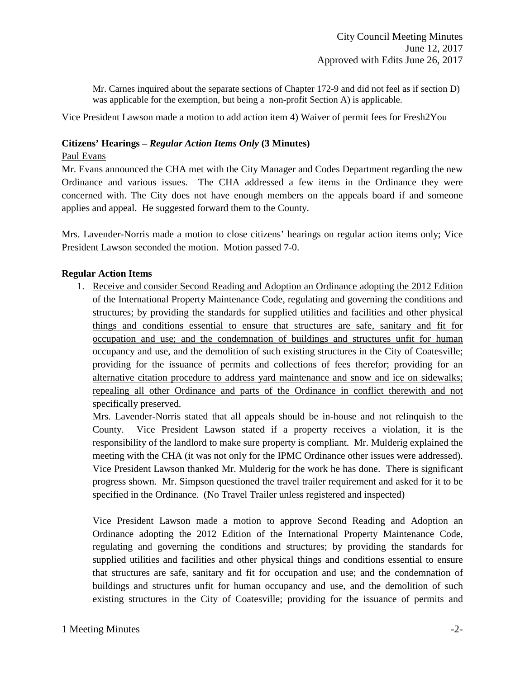Mr. Carnes inquired about the separate sections of Chapter 172-9 and did not feel as if section D) was applicable for the exemption, but being a non-profit Section A) is applicable.

Vice President Lawson made a motion to add action item 4) Waiver of permit fees for Fresh2You

#### **Citizens' Hearings –** *Regular Action Items Only* **(3 Minutes)**

#### Paul Evans

Mr. Evans announced the CHA met with the City Manager and Codes Department regarding the new Ordinance and various issues. The CHA addressed a few items in the Ordinance they were concerned with. The City does not have enough members on the appeals board if and someone applies and appeal. He suggested forward them to the County.

Mrs. Lavender-Norris made a motion to close citizens' hearings on regular action items only; Vice President Lawson seconded the motion. Motion passed 7-0.

#### **Regular Action Items**

1. Receive and consider Second Reading and Adoption an Ordinance adopting the 2012 Edition of the International Property Maintenance Code, regulating and governing the conditions and structures; by providing the standards for supplied utilities and facilities and other physical things and conditions essential to ensure that structures are safe, sanitary and fit for occupation and use; and the condemnation of buildings and structures unfit for human occupancy and use, and the demolition of such existing structures in the City of Coatesville; providing for the issuance of permits and collections of fees therefor; providing for an alternative citation procedure to address yard maintenance and snow and ice on sidewalks; repealing all other Ordinance and parts of the Ordinance in conflict therewith and not specifically preserved.

Mrs. Lavender-Norris stated that all appeals should be in-house and not relinquish to the County. Vice President Lawson stated if a property receives a violation, it is the responsibility of the landlord to make sure property is compliant. Mr. Mulderig explained the meeting with the CHA (it was not only for the IPMC Ordinance other issues were addressed). Vice President Lawson thanked Mr. Mulderig for the work he has done. There is significant progress shown. Mr. Simpson questioned the travel trailer requirement and asked for it to be specified in the Ordinance. (No Travel Trailer unless registered and inspected)

Vice President Lawson made a motion to approve Second Reading and Adoption an Ordinance adopting the 2012 Edition of the International Property Maintenance Code, regulating and governing the conditions and structures; by providing the standards for supplied utilities and facilities and other physical things and conditions essential to ensure that structures are safe, sanitary and fit for occupation and use; and the condemnation of buildings and structures unfit for human occupancy and use, and the demolition of such existing structures in the City of Coatesville; providing for the issuance of permits and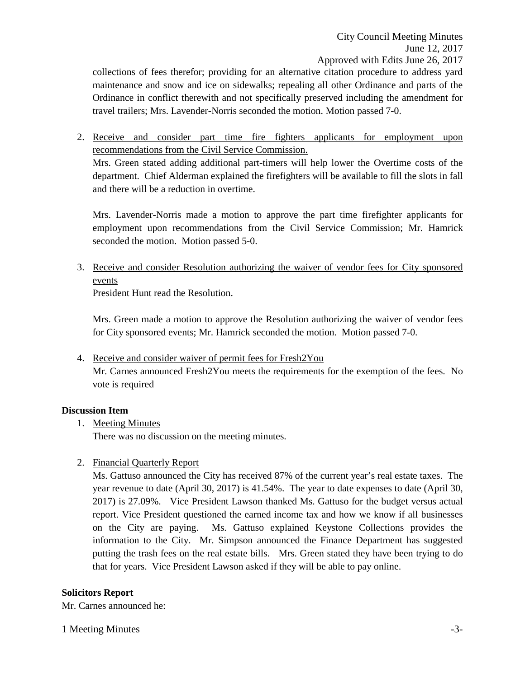Approved with Edits June 26, 2017

collections of fees therefor; providing for an alternative citation procedure to address yard maintenance and snow and ice on sidewalks; repealing all other Ordinance and parts of the Ordinance in conflict therewith and not specifically preserved including the amendment for travel trailers; Mrs. Lavender-Norris seconded the motion. Motion passed 7-0.

2. Receive and consider part time fire fighters applicants for employment upon recommendations from the Civil Service Commission. Mrs. Green stated adding additional part-timers will help lower the Overtime costs of the department. Chief Alderman explained the firefighters will be available to fill the slots in fall and there will be a reduction in overtime.

Mrs. Lavender-Norris made a motion to approve the part time firefighter applicants for employment upon recommendations from the Civil Service Commission; Mr. Hamrick seconded the motion. Motion passed 5-0.

3. Receive and consider Resolution authorizing the waiver of vendor fees for City sponsored events

President Hunt read the Resolution.

Mrs. Green made a motion to approve the Resolution authorizing the waiver of vendor fees for City sponsored events; Mr. Hamrick seconded the motion. Motion passed 7-0.

4. Receive and consider waiver of permit fees for Fresh2You Mr. Carnes announced Fresh2You meets the requirements for the exemption of the fees. No vote is required

#### **Discussion Item**

1. Meeting Minutes

There was no discussion on the meeting minutes.

2. Financial Quarterly Report

Ms. Gattuso announced the City has received 87% of the current year's real estate taxes. The year revenue to date (April 30, 2017) is 41.54%. The year to date expenses to date (April 30, 2017) is 27.09%. Vice President Lawson thanked Ms. Gattuso for the budget versus actual report. Vice President questioned the earned income tax and how we know if all businesses on the City are paying. Ms. Gattuso explained Keystone Collections provides the information to the City. Mr. Simpson announced the Finance Department has suggested putting the trash fees on the real estate bills. Mrs. Green stated they have been trying to do that for years. Vice President Lawson asked if they will be able to pay online.

#### **Solicitors Report**

Mr. Carnes announced he:

1 Meeting Minutes  $\sim$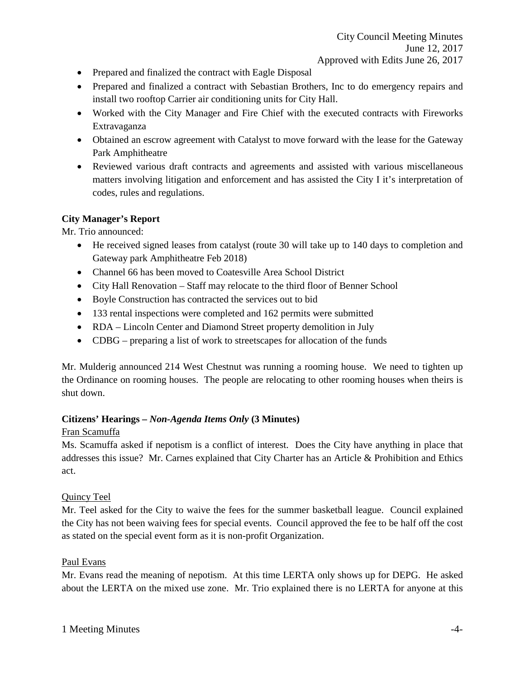- Prepared and finalized the contract with Eagle Disposal
- Prepared and finalized a contract with Sebastian Brothers, Inc to do emergency repairs and install two rooftop Carrier air conditioning units for City Hall.
- Worked with the City Manager and Fire Chief with the executed contracts with Fireworks Extravaganza
- Obtained an escrow agreement with Catalyst to move forward with the lease for the Gateway Park Amphitheatre
- Reviewed various draft contracts and agreements and assisted with various miscellaneous matters involving litigation and enforcement and has assisted the City I it's interpretation of codes, rules and regulations.

# **City Manager's Report**

Mr. Trio announced:

- He received signed leases from catalyst (route 30 will take up to 140 days to completion and Gateway park Amphitheatre Feb 2018)
- Channel 66 has been moved to Coatesville Area School District
- City Hall Renovation Staff may relocate to the third floor of Benner School
- Boyle Construction has contracted the services out to bid
- 133 rental inspections were completed and 162 permits were submitted
- RDA Lincoln Center and Diamond Street property demolition in July
- CDBG preparing a list of work to streetscapes for allocation of the funds

Mr. Mulderig announced 214 West Chestnut was running a rooming house. We need to tighten up the Ordinance on rooming houses. The people are relocating to other rooming houses when theirs is shut down.

## **Citizens' Hearings –** *Non-Agenda Items Only* **(3 Minutes)**

## Fran Scamuffa

Ms. Scamuffa asked if nepotism is a conflict of interest. Does the City have anything in place that addresses this issue? Mr. Carnes explained that City Charter has an Article & Prohibition and Ethics act.

## Quincy Teel

Mr. Teel asked for the City to waive the fees for the summer basketball league. Council explained the City has not been waiving fees for special events. Council approved the fee to be half off the cost as stated on the special event form as it is non-profit Organization.

## Paul Evans

Mr. Evans read the meaning of nepotism. At this time LERTA only shows up for DEPG. He asked about the LERTA on the mixed use zone. Mr. Trio explained there is no LERTA for anyone at this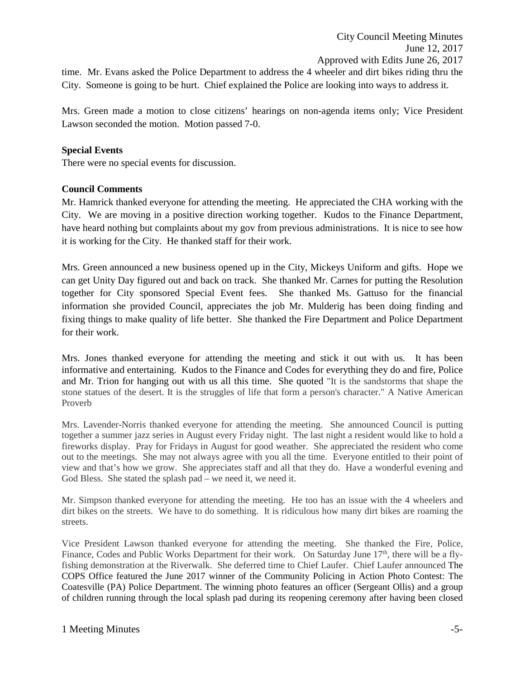time. Mr. Evans asked the Police Department to address the 4 wheeler and dirt bikes riding thru the City. Someone is going to be hurt. Chief explained the Police are looking into ways to address it.

Mrs. Green made a motion to close citizens' hearings on non-agenda items only; Vice President Lawson seconded the motion. Motion passed 7-0.

### **Special Events**

There were no special events for discussion.

### **Council Comments**

Mr. Hamrick thanked everyone for attending the meeting. He appreciated the CHA working with the City. We are moving in a positive direction working together. Kudos to the Finance Department, have heard nothing but complaints about my gov from previous administrations. It is nice to see how it is working for the City. He thanked staff for their work.

Mrs. Green announced a new business opened up in the City, Mickeys Uniform and gifts. Hope we can get Unity Day figured out and back on track. She thanked Mr. Carnes for putting the Resolution together for City sponsored Special Event fees. She thanked Ms. Gattuso for the financial information she provided Council, appreciates the job Mr. Mulderig has been doing finding and fixing things to make quality of life better. She thanked the Fire Department and Police Department for their work.

Mrs. Jones thanked everyone for attending the meeting and stick it out with us. It has been informative and entertaining. Kudos to the Finance and Codes for everything they do and fire, Police and Mr. Trion for hanging out with us all this time. She quoted "It is the sandstorms that shape the stone statues of the desert. It is the struggles of life that form a person's character." A Native American Proverb

Mrs. Lavender-Norris thanked everyone for attending the meeting. She announced Council is putting together a summer jazz series in August every Friday night. The last night a resident would like to hold a fireworks display. Pray for Fridays in August for good weather. She appreciated the resident who come out to the meetings. She may not always agree with you all the time. Everyone entitled to their point of view and that's how we grow. She appreciates staff and all that they do. Have a wonderful evening and God Bless. She stated the splash pad – we need it, we need it.

Mr. Simpson thanked everyone for attending the meeting. He too has an issue with the 4 wheelers and dirt bikes on the streets. We have to do something. It is ridiculous how many dirt bikes are roaming the streets.

Vice President Lawson thanked everyone for attending the meeting. She thanked the Fire, Police, Finance, Codes and Public Works Department for their work. On Saturday June 17<sup>th</sup>, there will be a flyfishing demonstration at the Riverwalk. She deferred time to Chief Laufer. Chief Laufer announced The COPS Office featured the June 2017 winner of the Community Policing in Action Photo Contest: The Coatesville (PA) Police Department. The winning photo features an officer (Sergeant Ollis) and a group of children running through the local splash pad during its reopening ceremony after having been closed